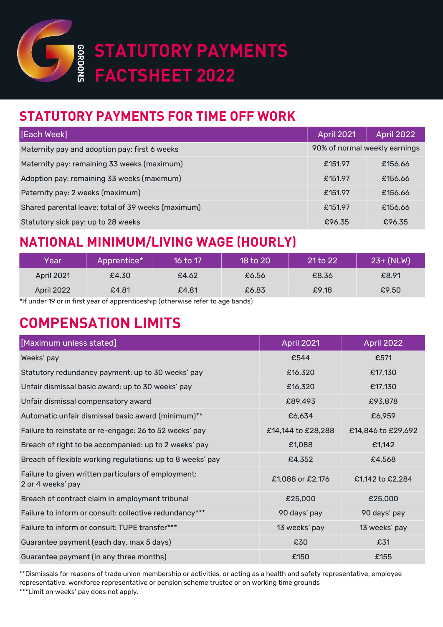

# **STATUTORY PAYMENTS FACTSHEET 2022**

## **STATUTORY PAYMENTS FOR TIME OFF WORK**

| [Each Week]                                        | <b>April 2021</b>             | <b>April 2022</b> |
|----------------------------------------------------|-------------------------------|-------------------|
| Maternity pay and adoption pay: first 6 weeks      | 90% of normal weekly earnings |                   |
| Maternity pay: remaining 33 weeks (maximum)        | £151.97                       | £156.66           |
| Adoption pay: remaining 33 weeks (maximum)         | £151.97                       | £156.66           |
| Paternity pay: 2 weeks (maximum)                   | £151.97                       | £156.66           |
| Shared parental leave: total of 39 weeks (maximum) | £151.97                       | £156.66           |
| Statutory sick pay: up to 28 weeks                 | £96.35                        | £96.35            |

#### **NATIONAL MINIMUM/LIVING WAGE (HOURLY)**

| Year              | Apprentice* | 16 to 17' | 18 to 20 | $21$ to $22$ | $23 + (NLW)$ |
|-------------------|-------------|-----------|----------|--------------|--------------|
| <b>April 2021</b> | £4.30       | £4.62     | £6.56    | £8.36        | £8.91        |
| <b>April 2022</b> | £4.81       | £4.81     | £6.83    | £9.18        | £9.50        |

\*If under 19 or in first year of apprenticeship (otherwise refer to age bands)

## **COMPENSATION LIMITS**

| [Maximum unless stated]                                                  | <b>April 2021</b>  | April 2022         |
|--------------------------------------------------------------------------|--------------------|--------------------|
| Weeks' pay                                                               | £544               | £571               |
| Statutory redundancy payment: up to 30 weeks' pay                        | £16,320            | £17,130            |
| Unfair dismissal basic award: up to 30 weeks' pay                        | £16,320            | £17,130            |
| Unfair dismissal compensatory award                                      | £89,493            | £93,878            |
| Automatic unfair dismissal basic award (minimum)**                       | £6,634             | £6,959             |
| Failure to reinstate or re-engage: 26 to 52 weeks' pay                   | £14,144 to £28,288 | £14,846 to £29,692 |
| Breach of right to be accompanied: up to 2 weeks' pay                    | £1,088             | £1,142             |
| Breach of flexible working regulations: up to 8 weeks' pay               | £4,352             | £4,568             |
| Failure to given written particulars of employment:<br>2 or 4 weeks' pay | £1,088 or £2,176   | £1,142 to £2,284   |
| Breach of contract claim in employment tribunal                          | £25,000            | £25,000            |
| Failure to inform or consult: collective redundancy***                   | 90 days' pay       | 90 days' pay       |
| Failure to inform or consult: TUPE transfer***                           | 13 weeks' pay      | 13 weeks' pay      |
| Guarantee payment (each day, max 5 days)                                 | £30                | £31                |
| Guarantee payment (in any three months)                                  | £150               | £155               |

\*\*Dismissals for reasons of trade union membership or activities, or acting as a health and safety representative, employee representative, workforce representative or pension scheme trustee or on working time grounds \*\*\*Limit on weeks' pay does not apply.